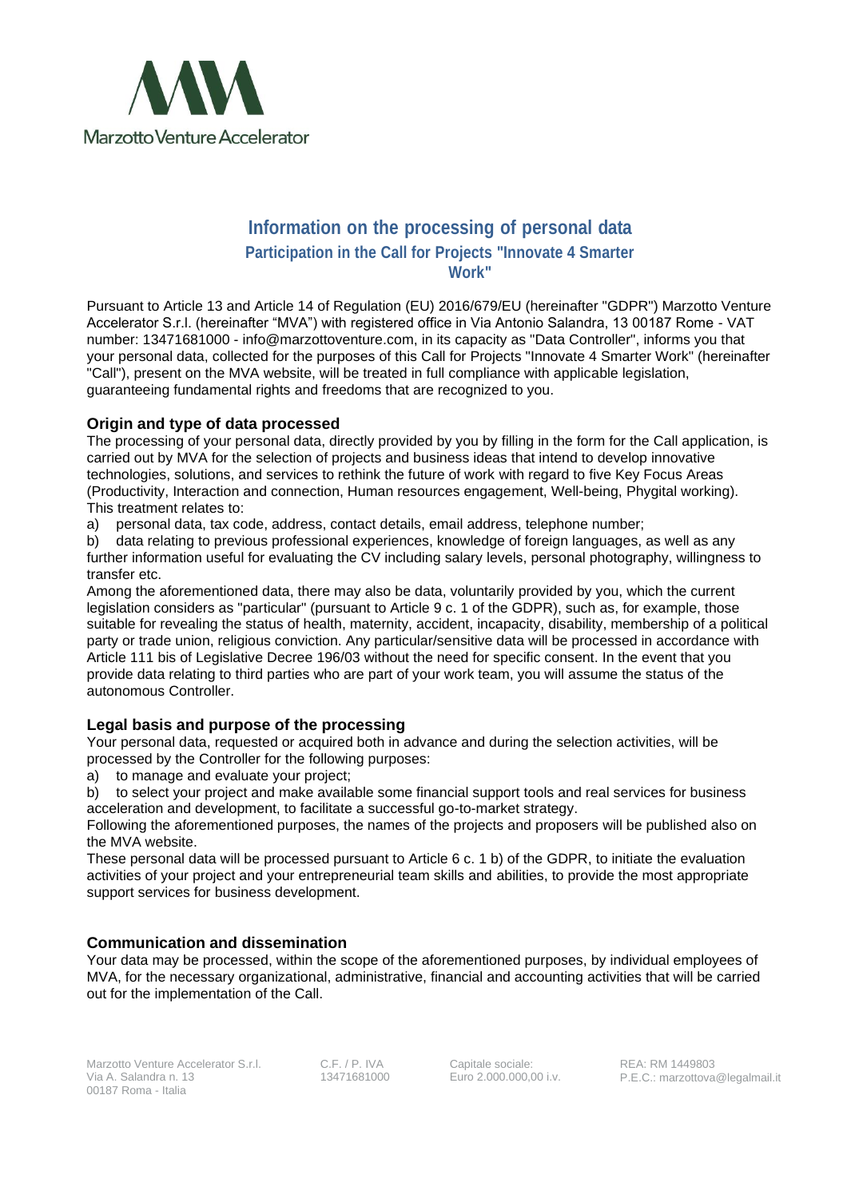

# **Information on the processing of personal data Participation in the Call for Projects "Innovate 4 Smarter Work"**

Pursuant to Article 13 and Article 14 of Regulation (EU) 2016/679/EU (hereinafter "GDPR") Marzotto Venture Accelerator S.r.l. (hereinafter "MVA") with registered office in Via Antonio Salandra, 13 00187 Rome - VAT number: 13471681000 - info@marzottoventure.com, in its capacity as "Data Controller", informs you that your personal data, collected for the purposes of this Call for Projects "Innovate 4 Smarter Work" (hereinafter "Call"), present on the MVA website, will be treated in full compliance with applicable legislation, guaranteeing fundamental rights and freedoms that are recognized to you.

### **Origin and type of data processed**

The processing of your personal data, directly provided by you by filling in the form for the Call application, is carried out by MVA for the selection of projects and business ideas that intend to develop innovative technologies, solutions, and services to rethink the future of work with regard to five Key Focus Areas (Productivity, Interaction and connection, Human resources engagement, Well-being, Phygital working). This treatment relates to:

a) personal data, tax code, address, contact details, email address, telephone number;

b) data relating to previous professional experiences, knowledge of foreign languages, as well as any further information useful for evaluating the CV including salary levels, personal photography, willingness to transfer etc.

Among the aforementioned data, there may also be data, voluntarily provided by you, which the current legislation considers as "particular" (pursuant to Article 9 c. 1 of the GDPR), such as, for example, those suitable for revealing the status of health, maternity, accident, incapacity, disability, membership of a political party or trade union, religious conviction. Any particular/sensitive data will be processed in accordance with Article 111 bis of Legislative Decree 196/03 without the need for specific consent. In the event that you provide data relating to third parties who are part of your work team, you will assume the status of the autonomous Controller.

#### **Legal basis and purpose of the processing**

Your personal data, requested or acquired both in advance and during the selection activities, will be processed by the Controller for the following purposes:

a) to manage and evaluate your project;

b) to select your project and make available some financial support tools and real services for business acceleration and development, to facilitate a successful go-to-market strategy.

Following the aforementioned purposes, the names of the projects and proposers will be published also on the MVA website.

These personal data will be processed pursuant to Article 6 c. 1 b) of the GDPR, to initiate the evaluation activities of your project and your entrepreneurial team skills and abilities, to provide the most appropriate support services for business development.

## **Communication and dissemination**

Your data may be processed, within the scope of the aforementioned purposes, by individual employees of MVA, for the necessary organizational, administrative, financial and accounting activities that will be carried out for the implementation of the Call.

C.F. / P. IVA 13471681000 Capitale sociale: Euro 2.000.000,00 i.v.